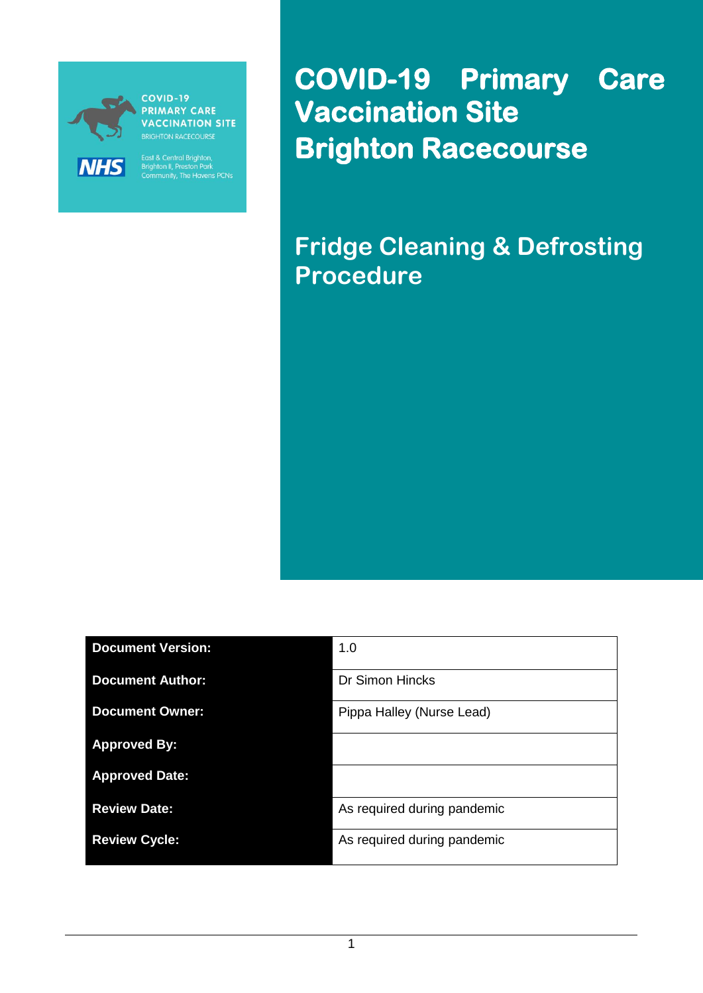

COVID-19 **PRIMARY CARE VACCINATION SITE** 

East & Central Brighton,<br>Brighton II, Preston Park<br>Community, The Havens PCNs

**COVID-19 Primary Care Vaccination Site Brighton Racecourse** 

**Fridge Cleaning & Defrosting Procedure**

| <b>Document Version:</b> | 1.0                         |
|--------------------------|-----------------------------|
| <b>Document Author:</b>  | Dr Simon Hincks             |
| <b>Document Owner:</b>   | Pippa Halley (Nurse Lead)   |
| <b>Approved By:</b>      |                             |
| <b>Approved Date:</b>    |                             |
| <b>Review Date:</b>      | As required during pandemic |
| <b>Review Cycle:</b>     | As required during pandemic |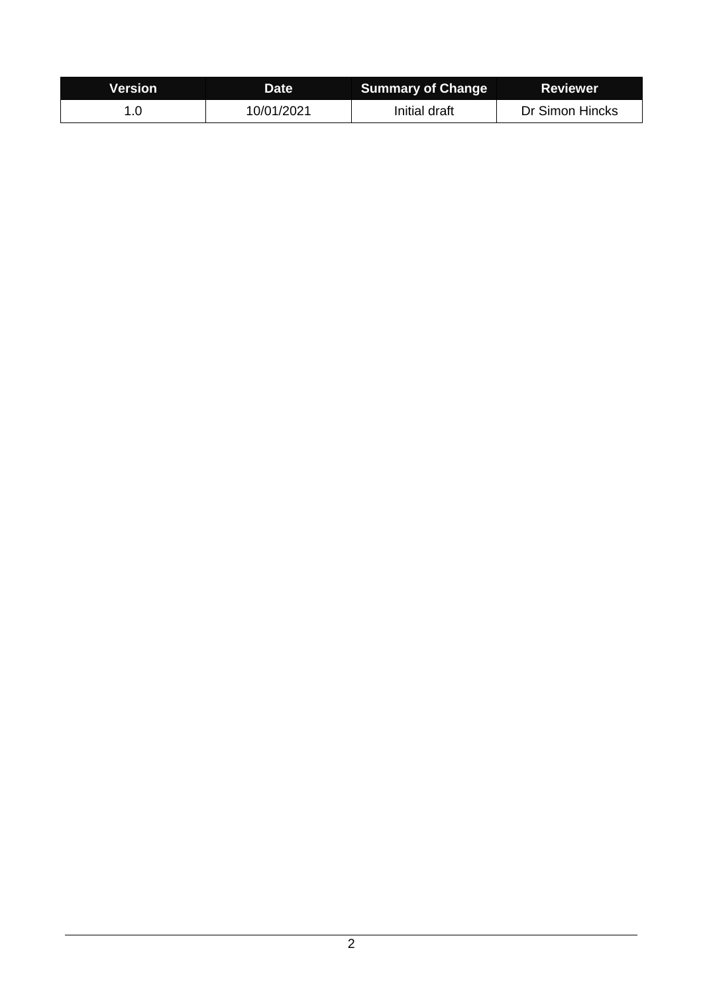| <b>Version</b> | Date       | <b>Summary of Change</b> | <b>Reviewer</b> |
|----------------|------------|--------------------------|-----------------|
|                | 10/01/2021 | Initial draft            | Dr Simon Hincks |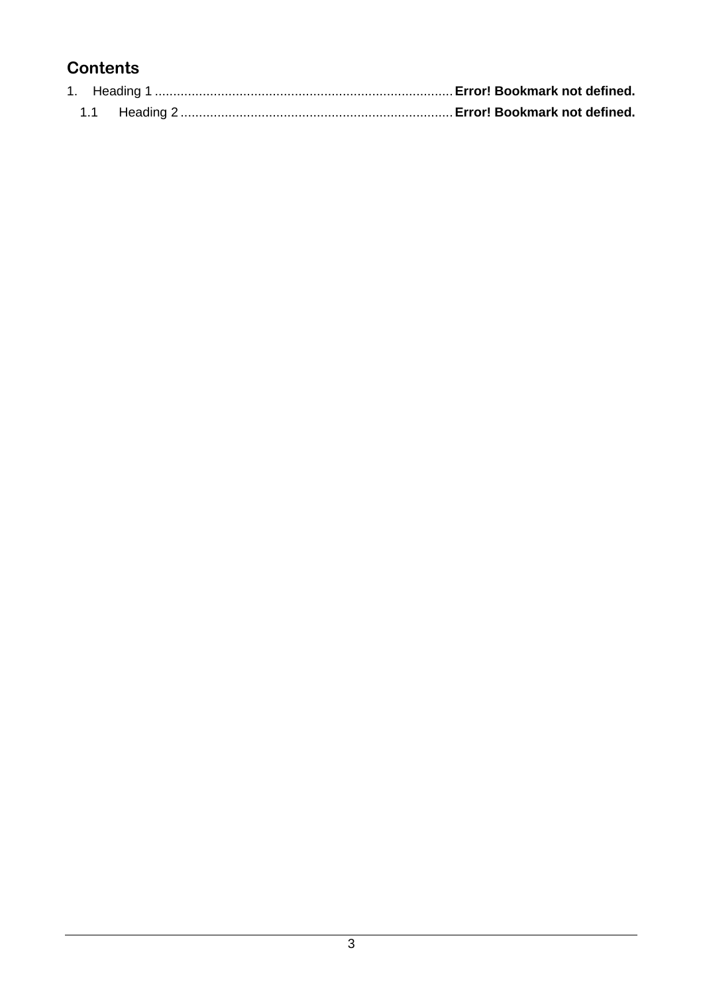# **Contents**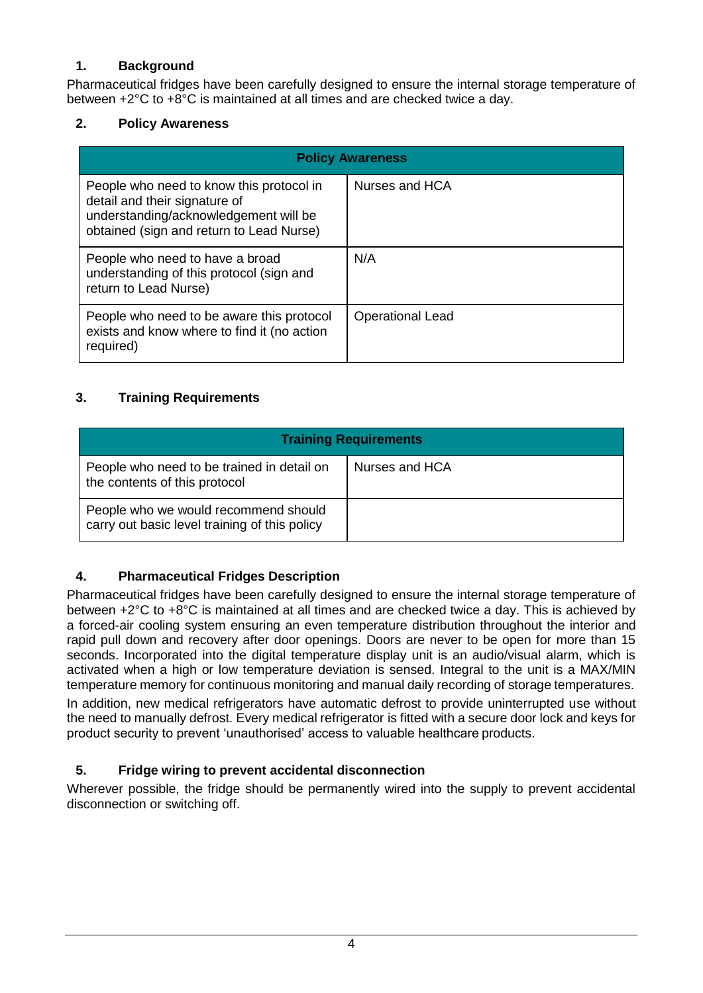## **1. Background**

Pharmaceutical fridges have been carefully designed to ensure the internal storage temperature of between +2°C to +8°C is maintained at all times and are checked twice a day.

#### **2. Policy Awareness**

| <b>Policy Awareness</b>                                                                                                                                        |                         |  |
|----------------------------------------------------------------------------------------------------------------------------------------------------------------|-------------------------|--|
| People who need to know this protocol in<br>detail and their signature of<br>understanding/acknowledgement will be<br>obtained (sign and return to Lead Nurse) | Nurses and HCA          |  |
| People who need to have a broad<br>understanding of this protocol (sign and<br>return to Lead Nurse)                                                           | N/A                     |  |
| People who need to be aware this protocol<br>exists and know where to find it (no action<br>required)                                                          | <b>Operational Lead</b> |  |

### **3. Training Requirements**

| <b>Training Requirements</b>                                                          |                |  |
|---------------------------------------------------------------------------------------|----------------|--|
| People who need to be trained in detail on<br>the contents of this protocol           | Nurses and HCA |  |
| People who we would recommend should<br>carry out basic level training of this policy |                |  |

### **4. Pharmaceutical Fridges Description**

Pharmaceutical fridges have been carefully designed to ensure the internal storage temperature of between +2°C to +8°C is maintained at all times and are checked twice a day. This is achieved by a forced-air cooling system ensuring an even temperature distribution throughout the interior and rapid pull down and recovery after door openings. Doors are never to be open for more than 15 seconds. Incorporated into the digital temperature display unit is an audio/visual alarm, which is activated when a high or low temperature deviation is sensed. Integral to the unit is a MAX/MIN temperature memory for continuous monitoring and manual daily recording of storage temperatures. In addition, new medical refrigerators have automatic defrost to provide uninterrupted use without the need to manually defrost. Every medical refrigerator is fitted with a secure door lock and keys for product security to prevent 'unauthorised' access to valuable healthcare products.

### **5. Fridge wiring to prevent accidental disconnection**

Wherever possible, the fridge should be permanently wired into the supply to prevent accidental disconnection or switching off.